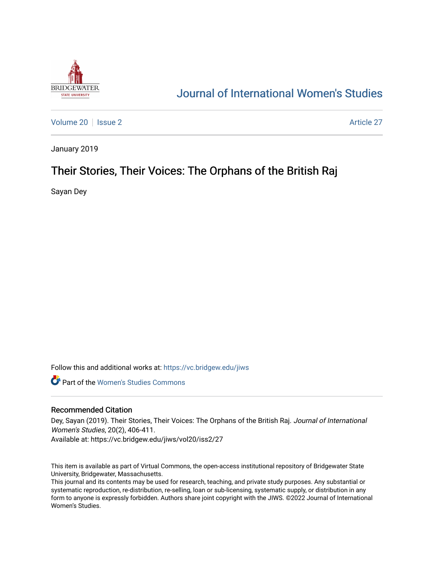

# [Journal of International Women's Studies](https://vc.bridgew.edu/jiws)

[Volume 20](https://vc.bridgew.edu/jiws/vol20) | [Issue 2](https://vc.bridgew.edu/jiws/vol20/iss2) Article 27

January 2019

## Their Stories, Their Voices: The Orphans of the British Raj

Sayan Dey

Follow this and additional works at: [https://vc.bridgew.edu/jiws](https://vc.bridgew.edu/jiws?utm_source=vc.bridgew.edu%2Fjiws%2Fvol20%2Fiss2%2F27&utm_medium=PDF&utm_campaign=PDFCoverPages)

**C** Part of the Women's Studies Commons

#### Recommended Citation

Dey, Sayan (2019). Their Stories, Their Voices: The Orphans of the British Raj. Journal of International Women's Studies, 20(2), 406-411.

Available at: https://vc.bridgew.edu/jiws/vol20/iss2/27

This item is available as part of Virtual Commons, the open-access institutional repository of Bridgewater State University, Bridgewater, Massachusetts.

This journal and its contents may be used for research, teaching, and private study purposes. Any substantial or systematic reproduction, re-distribution, re-selling, loan or sub-licensing, systematic supply, or distribution in any form to anyone is expressly forbidden. Authors share joint copyright with the JIWS. ©2022 Journal of International Women's Studies.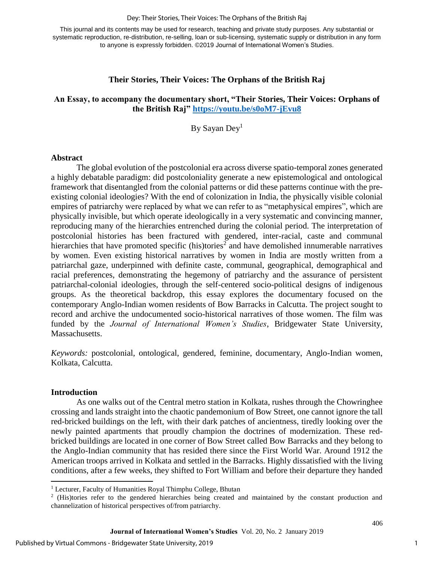#### Dey: Their Stories, Their Voices: The Orphans of the British Raj

This journal and its contents may be used for research, teaching and private study purposes. Any substantial or systematic reproduction, re-distribution, re-selling, loan or sub-licensing, systematic supply or distribution in any form to anyone is expressly forbidden. ©2019 Journal of International Women's Studies.

#### **Their Stories, Their Voices: The Orphans of the British Raj**

### **An Essay, to accompany the documentary short, "Their Stories, Their Voices: Orphans of the British Raj"<https://youtu.be/s0oM7-jEvu8>**

By Sayan Dey<sup>1</sup>

#### **Abstract**

The global evolution of the postcolonial era across diverse spatio-temporal zones generated a highly debatable paradigm: did postcoloniality generate a new epistemological and ontological framework that disentangled from the colonial patterns or did these patterns continue with the preexisting colonial ideologies? With the end of colonization in India, the physically visible colonial empires of patriarchy were replaced by what we can refer to as "metaphysical empires", which are physically invisible, but which operate ideologically in a very systematic and convincing manner, reproducing many of the hierarchies entrenched during the colonial period. The interpretation of postcolonial histories has been fractured with gendered, inter-racial, caste and communal hierarchies that have promoted specific (his)tories<sup>2</sup> and have demolished innumerable narratives by women. Even existing historical narratives by women in India are mostly written from a patriarchal gaze, underpinned with definite caste, communal, geographical, demographical and racial preferences, demonstrating the hegemony of patriarchy and the assurance of persistent patriarchal-colonial ideologies, through the self-centered socio-political designs of indigenous groups. As the theoretical backdrop, this essay explores the documentary focused on the contemporary Anglo-Indian women residents of Bow Barracks in Calcutta. The project sought to record and archive the undocumented socio-historical narratives of those women. The film was funded by the *Journal of International Women's Studies*, Bridgewater State University, Massachusetts.

*Keywords:* postcolonial, ontological, gendered, feminine, documentary, Anglo-Indian women, Kolkata, Calcutta.

#### **Introduction**

 $\overline{\phantom{a}}$ 

As one walks out of the Central metro station in Kolkata, rushes through the Chowringhee crossing and lands straight into the chaotic pandemonium of Bow Street, one cannot ignore the tall red-bricked buildings on the left, with their dark patches of ancientness, tiredly looking over the newly painted apartments that proudly champion the doctrines of modernization. These redbricked buildings are located in one corner of Bow Street called Bow Barracks and they belong to the Anglo-Indian community that has resided there since the First World War. Around 1912 the American troops arrived in Kolkata and settled in the Barracks. Highly dissatisfied with the living conditions, after a few weeks, they shifted to Fort William and before their departure they handed

<sup>1</sup> Lecturer, Faculty of Humanities Royal Thimphu College, Bhutan

<sup>&</sup>lt;sup>2</sup> (His)tories refer to the gendered hierarchies being created and maintained by the constant production and channelization of historical perspectives of/from patriarchy.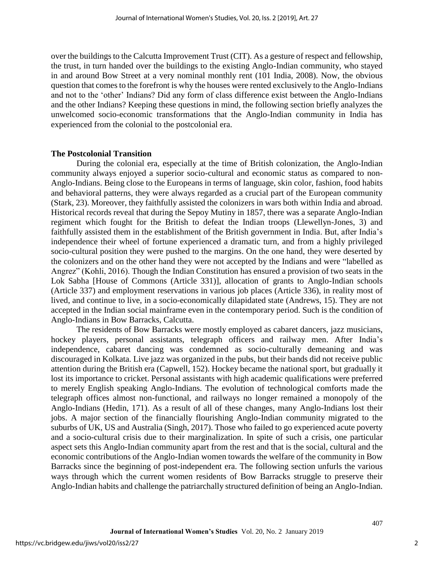over the buildings to the Calcutta Improvement Trust (CIT). As a gesture of respect and fellowship, the trust, in turn handed over the buildings to the existing Anglo-Indian community, who stayed in and around Bow Street at a very nominal monthly rent (101 India, 2008). Now, the obvious question that comes to the forefront is why the houses were rented exclusively to the Anglo-Indians and not to the 'other' Indians? Did any form of class difference exist between the Anglo-Indians and the other Indians? Keeping these questions in mind, the following section briefly analyzes the unwelcomed socio-economic transformations that the Anglo-Indian community in India has experienced from the colonial to the postcolonial era.

#### **The Postcolonial Transition**

During the colonial era, especially at the time of British colonization, the Anglo-Indian community always enjoyed a superior socio-cultural and economic status as compared to non-Anglo-Indians. Being close to the Europeans in terms of language, skin color, fashion, food habits and behavioral patterns, they were always regarded as a crucial part of the European community (Stark, 23). Moreover, they faithfully assisted the colonizers in wars both within India and abroad. Historical records reveal that during the Sepoy Mutiny in 1857, there was a separate Anglo-Indian regiment which fought for the British to defeat the Indian troops (Llewellyn-Jones, 3) and faithfully assisted them in the establishment of the British government in India. But, after India's independence their wheel of fortune experienced a dramatic turn, and from a highly privileged socio-cultural position they were pushed to the margins. On the one hand, they were deserted by the colonizers and on the other hand they were not accepted by the Indians and were "labelled as Angrez" (Kohli, 2016). Though the Indian Constitution has ensured a provision of two seats in the Lok Sabha [House of Commons (Article 331)], allocation of grants to Anglo-Indian schools (Article 337) and employment reservations in various job places (Article 336), in reality most of lived, and continue to live, in a socio-economically dilapidated state (Andrews, 15). They are not accepted in the Indian social mainframe even in the contemporary period. Such is the condition of Anglo-Indians in Bow Barracks, Calcutta.

The residents of Bow Barracks were mostly employed as cabaret dancers, jazz musicians, hockey players, personal assistants, telegraph officers and railway men. After India's independence, cabaret dancing was condemned as socio-culturally demeaning and was discouraged in Kolkata. Live jazz was organized in the pubs, but their bands did not receive public attention during the British era (Capwell, 152). Hockey became the national sport, but gradually it lost its importance to cricket. Personal assistants with high academic qualifications were preferred to merely English speaking Anglo-Indians. The evolution of technological comforts made the telegraph offices almost non-functional, and railways no longer remained a monopoly of the Anglo-Indians (Hedin, 171). As a result of all of these changes, many Anglo-Indians lost their jobs. A major section of the financially flourishing Anglo-Indian community migrated to the suburbs of UK, US and Australia (Singh, 2017). Those who failed to go experienced acute poverty and a socio-cultural crisis due to their marginalization. In spite of such a crisis, one particular aspect sets this Anglo-Indian community apart from the rest and that is the social, cultural and the economic contributions of the Anglo-Indian women towards the welfare of the community in Bow Barracks since the beginning of post-independent era. The following section unfurls the various ways through which the current women residents of Bow Barracks struggle to preserve their Anglo-Indian habits and challenge the patriarchally structured definition of being an Anglo-Indian.

2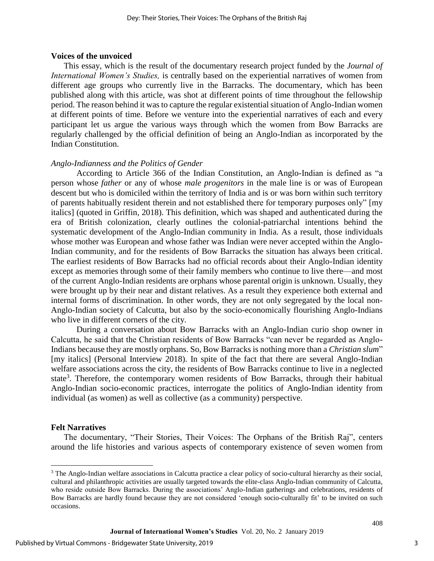#### **Voices of the unvoiced**

This essay, which is the result of the documentary research project funded by the *Journal of International Women's Studies,* is centrally based on the experiential narratives of women from different age groups who currently live in the Barracks. The documentary, which has been published along with this article, was shot at different points of time throughout the fellowship period. The reason behind it was to capture the regular existential situation of Anglo-Indian women at different points of time. Before we venture into the experiential narratives of each and every participant let us argue the various ways through which the women from Bow Barracks are regularly challenged by the official definition of being an Anglo-Indian as incorporated by the Indian Constitution.

#### *Anglo-Indianness and the Politics of Gender*

According to Article 366 of the Indian Constitution, an Anglo-Indian is defined as "a person whose *father* or any of whose *male progenitors* in the male line is or was of European descent but who is domiciled within the territory of India and is or was born within such territory of parents habitually resident therein and not established there for temporary purposes only" [my italics] (quoted in Griffin, 2018). This definition, which was shaped and authenticated during the era of British colonization, clearly outlines the colonial-patriarchal intentions behind the systematic development of the Anglo-Indian community in India. As a result, those individuals whose mother was European and whose father was Indian were never accepted within the Anglo-Indian community, and for the residents of Bow Barracks the situation has always been critical. The earliest residents of Bow Barracks had no official records about their Anglo-Indian identity except as memories through some of their family members who continue to live there—and most of the current Anglo-Indian residents are orphans whose parental origin is unknown. Usually, they were brought up by their near and distant relatives. As a result they experience both external and internal forms of discrimination. In other words, they are not only segregated by the local non-Anglo-Indian society of Calcutta, but also by the socio-economically flourishing Anglo-Indians who live in different corners of the city.

During a conversation about Bow Barracks with an Anglo-Indian curio shop owner in Calcutta, he said that the Christian residents of Bow Barracks "can never be regarded as Anglo-Indians because they are mostly orphans. So, Bow Barracks is nothing more than a *Christian slum*" [my italics] (Personal Interview 2018). In spite of the fact that there are several Anglo-Indian welfare associations across the city, the residents of Bow Barracks continue to live in a neglected state<sup>3</sup>. Therefore, the contemporary women residents of Bow Barracks, through their habitual Anglo-Indian socio-economic practices, interrogate the politics of Anglo-Indian identity from individual (as women) as well as collective (as a community) perspective.

#### **Felt Narratives**

l

The documentary, "Their Stories, Their Voices: The Orphans of the British Raj", centers around the life histories and various aspects of contemporary existence of seven women from

<sup>&</sup>lt;sup>3</sup> The Anglo-Indian welfare associations in Calcutta practice a clear policy of socio-cultural hierarchy as their social, cultural and philanthropic activities are usually targeted towards the elite-class Anglo-Indian community of Calcutta, who reside outside Bow Barracks. During the associations' Anglo-Indian gatherings and celebrations, residents of Bow Barracks are hardly found because they are not considered 'enough socio-culturally fit' to be invited on such occasions.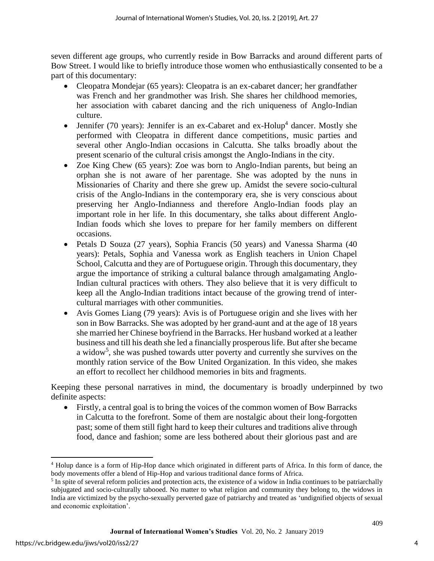seven different age groups, who currently reside in Bow Barracks and around different parts of Bow Street. I would like to briefly introduce those women who enthusiastically consented to be a part of this documentary:

- Cleopatra Mondejar (65 years): Cleopatra is an ex-cabaret dancer; her grandfather was French and her grandmother was Irish. She shares her childhood memories, her association with cabaret dancing and the rich uniqueness of Anglo-Indian culture.
- Jennifer (70 years): Jennifer is an ex-Cabaret and  $ex$ -Holup<sup>4</sup> dancer. Mostly she performed with Cleopatra in different dance competitions, music parties and several other Anglo-Indian occasions in Calcutta. She talks broadly about the present scenario of the cultural crisis amongst the Anglo-Indians in the city.
- Zoe King Chew (65 years): Zoe was born to Anglo-Indian parents, but being an orphan she is not aware of her parentage. She was adopted by the nuns in Missionaries of Charity and there she grew up. Amidst the severe socio-cultural crisis of the Anglo-Indians in the contemporary era, she is very conscious about preserving her Anglo-Indianness and therefore Anglo-Indian foods play an important role in her life. In this documentary, she talks about different Anglo-Indian foods which she loves to prepare for her family members on different occasions.
- Petals D Souza (27 years), Sophia Francis (50 years) and Vanessa Sharma (40 years): Petals, Sophia and Vanessa work as English teachers in Union Chapel School, Calcutta and they are of Portuguese origin. Through this documentary, they argue the importance of striking a cultural balance through amalgamating Anglo-Indian cultural practices with others. They also believe that it is very difficult to keep all the Anglo-Indian traditions intact because of the growing trend of intercultural marriages with other communities.
- Avis Gomes Liang (79 years): Avis is of Portuguese origin and she lives with her son in Bow Barracks. She was adopted by her grand-aunt and at the age of 18 years she married her Chinese boyfriend in the Barracks. Her husband worked at a leather business and till his death she led a financially prosperous life. But after she became a widow<sup>5</sup>, she was pushed towards utter poverty and currently she survives on the monthly ration service of the Bow United Organization. In this video, she makes an effort to recollect her childhood memories in bits and fragments.

Keeping these personal narratives in mind, the documentary is broadly underpinned by two definite aspects:

 Firstly, a central goal is to bring the voices of the common women of Bow Barracks in Calcutta to the forefront. Some of them are nostalgic about their long-forgotten past; some of them still fight hard to keep their cultures and traditions alive through food, dance and fashion; some are less bothered about their glorious past and are

 $\overline{\phantom{a}}$ <sup>4</sup> Holup dance is a form of Hip-Hop dance which originated in different parts of Africa. In this form of dance, the body movements offer a blend of Hip-Hop and various traditional dance forms of Africa.

<sup>&</sup>lt;sup>5</sup> In spite of several reform policies and protection acts, the existence of a widow in India continues to be patriarchally subjugated and socio-culturally tabooed. No matter to what religion and community they belong to, the widows in India are victimized by the psycho-sexually perverted gaze of patriarchy and treated as 'undignified objects of sexual and economic exploitation'.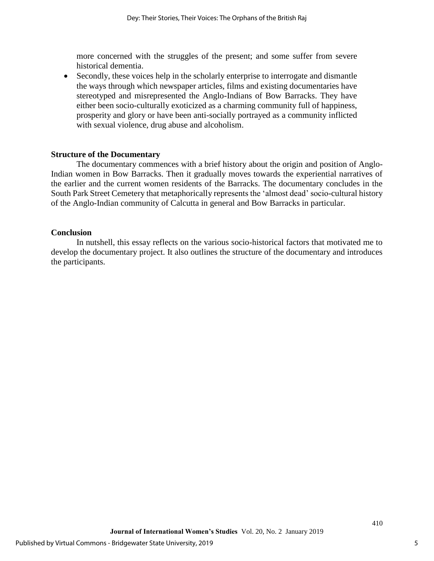more concerned with the struggles of the present; and some suffer from severe historical dementia.

 Secondly, these voices help in the scholarly enterprise to interrogate and dismantle the ways through which newspaper articles, films and existing documentaries have stereotyped and misrepresented the Anglo-Indians of Bow Barracks. They have either been socio-culturally exoticized as a charming community full of happiness, prosperity and glory or have been anti-socially portrayed as a community inflicted with sexual violence, drug abuse and alcoholism.

#### **Structure of the Documentary**

The documentary commences with a brief history about the origin and position of Anglo-Indian women in Bow Barracks. Then it gradually moves towards the experiential narratives of the earlier and the current women residents of the Barracks. The documentary concludes in the South Park Street Cemetery that metaphorically represents the 'almost dead' socio-cultural history of the Anglo-Indian community of Calcutta in general and Bow Barracks in particular.

#### **Conclusion**

In nutshell, this essay reflects on the various socio-historical factors that motivated me to develop the documentary project. It also outlines the structure of the documentary and introduces the participants.